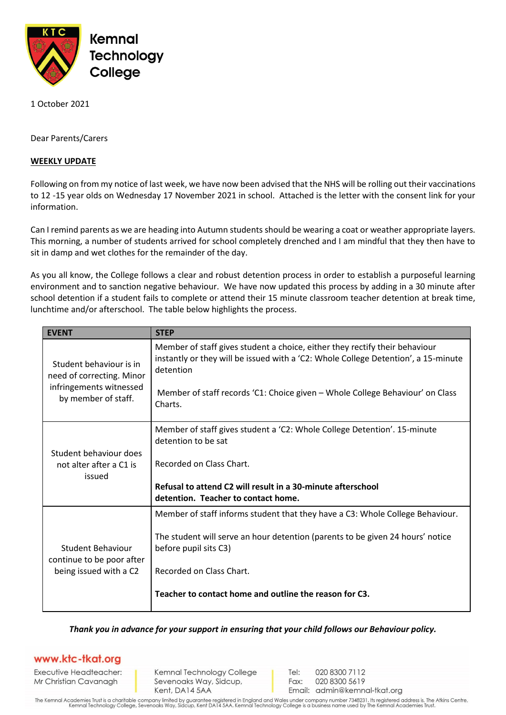

1 October 2021

Dear Parents/Carers

## **WEEKLY UPDATE**

Following on from my notice of last week, we have now been advised that the NHS will be rolling out their vaccinations to 12 -15 year olds on Wednesday 17 November 2021 in school. Attached is the letter with the consent link for your information.

Can I remind parents as we are heading into Autumn students should be wearing a coat or weather appropriate layers. This morning, a number of students arrived for school completely drenched and I am mindful that they then have to sit in damp and wet clothes for the remainder of the day.

As you all know, the College follows a clear and robust detention process in order to establish a purposeful learning environment and to sanction negative behaviour. We have now updated this process by adding in a 30 minute after school detention if a student fails to complete or attend their 15 minute classroom teacher detention at break time, lunchtime and/or afterschool. The table below highlights the process.

| <b>EVENT</b>                                                                                           | <b>STEP</b>                                                                                                                                                                                                                                                                    |
|--------------------------------------------------------------------------------------------------------|--------------------------------------------------------------------------------------------------------------------------------------------------------------------------------------------------------------------------------------------------------------------------------|
| Student behaviour is in<br>need of correcting. Minor<br>infringements witnessed<br>by member of staff. | Member of staff gives student a choice, either they rectify their behaviour<br>instantly or they will be issued with a 'C2: Whole College Detention', a 15-minute<br>detention<br>Member of staff records 'C1: Choice given - Whole College Behaviour' on Class<br>Charts.     |
| Student behaviour does<br>not alter after a C1 is<br>issued                                            | Member of staff gives student a 'C2: Whole College Detention'. 15-minute<br>detention to be sat<br>Recorded on Class Chart.<br>Refusal to attend C2 will result in a 30-minute afterschool<br>detention. Teacher to contact home.                                              |
| Student Behaviour<br>continue to be poor after<br>being issued with a C2                               | Member of staff informs student that they have a C3: Whole College Behaviour.<br>The student will serve an hour detention (parents to be given 24 hours' notice<br>before pupil sits C3)<br>Recorded on Class Chart.<br>Teacher to contact home and outline the reason for C3. |

*Thank you in advance for your support in ensuring that your child follows our Behaviour policy.*

## www.ktc-tkat.org

Executive Headteacher: Mr Christian Cavanagh

Kemnal Technology College Sevenoaks Way, Sidcup, Kent, DA14 5AA

Tel: 020 8300 7112 Fax: 020 8300 5619 Email: admin@kemnal-tkat.org

The Kemnal Academies Trust is a charitable company limited by guarantee registered in England and Wales under company number 7348231. Its registered address is, The Atkins Centre,<br>Kemnal Technology College, Sevenoaks Way,